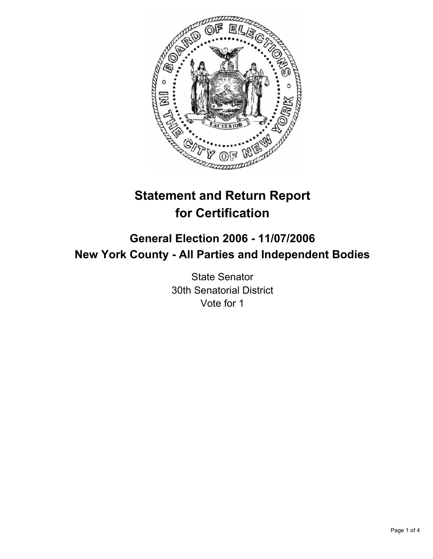

# **Statement and Return Report for Certification**

## **General Election 2006 - 11/07/2006 New York County - All Parties and Independent Bodies**

State Senator 30th Senatorial District Vote for 1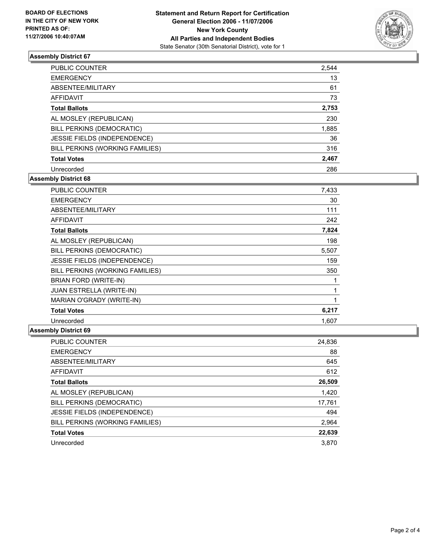

### **Assembly District 67**

| <b>PUBLIC COUNTER</b>           | 2,544 |
|---------------------------------|-------|
| <b>EMERGENCY</b>                | 13    |
| ABSENTEE/MILITARY               | 61    |
| AFFIDAVIT                       | 73    |
| <b>Total Ballots</b>            | 2,753 |
| AL MOSLEY (REPUBLICAN)          | 230   |
| BILL PERKINS (DEMOCRATIC)       | 1,885 |
| JESSIE FIELDS (INDEPENDENCE)    | 36    |
| BILL PERKINS (WORKING FAMILIES) | 316   |
| <b>Total Votes</b>              | 2,467 |
| Unrecorded                      | 286   |

### **Assembly District 68**

| PUBLIC COUNTER                  | 7,433 |
|---------------------------------|-------|
| <b>EMERGENCY</b>                | 30    |
| ABSENTEE/MILITARY               | 111   |
| <b>AFFIDAVIT</b>                | 242   |
| <b>Total Ballots</b>            | 7,824 |
| AL MOSLEY (REPUBLICAN)          | 198   |
| BILL PERKINS (DEMOCRATIC)       | 5,507 |
| JESSIE FIELDS (INDEPENDENCE)    | 159   |
| BILL PERKINS (WORKING FAMILIES) | 350   |
| BRIAN FORD (WRITE-IN)           |       |
| <b>JUAN ESTRELLA (WRITE-IN)</b> |       |
| MARIAN O'GRADY (WRITE-IN)       |       |
| <b>Total Votes</b>              | 6,217 |
| Unrecorded                      | 1,607 |

#### **Assembly District 69**

| <b>PUBLIC COUNTER</b>               | 24,836 |
|-------------------------------------|--------|
| <b>EMERGENCY</b>                    | 88     |
| ABSENTEE/MILITARY                   | 645    |
| AFFIDAVIT                           | 612    |
| <b>Total Ballots</b>                | 26,509 |
| AL MOSLEY (REPUBLICAN)              | 1,420  |
| BILL PERKINS (DEMOCRATIC)           | 17,761 |
| <b>JESSIE FIELDS (INDEPENDENCE)</b> | 494    |
| BILL PERKINS (WORKING FAMILIES)     | 2,964  |
| <b>Total Votes</b>                  | 22,639 |
| Unrecorded                          | 3.870  |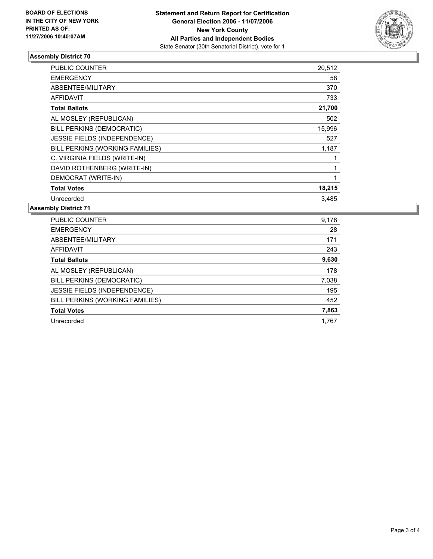

#### **Assembly District 70**

| PUBLIC COUNTER                  | 20,512 |  |
|---------------------------------|--------|--|
| <b>EMERGENCY</b>                | 58     |  |
| ABSENTEE/MILITARY               | 370    |  |
| <b>AFFIDAVIT</b>                | 733    |  |
| <b>Total Ballots</b>            | 21,700 |  |
| AL MOSLEY (REPUBLICAN)          | 502    |  |
| BILL PERKINS (DEMOCRATIC)       | 15,996 |  |
| JESSIE FIELDS (INDEPENDENCE)    | 527    |  |
| BILL PERKINS (WORKING FAMILIES) | 1,187  |  |
| C. VIRGINIA FIELDS (WRITE-IN)   |        |  |
| DAVID ROTHENBERG (WRITE-IN)     |        |  |
| DEMOCRAT (WRITE-IN)             |        |  |
| <b>Total Votes</b>              | 18,215 |  |
| Unrecorded                      | 3.485  |  |

**Assembly District 71**

| PUBLIC COUNTER                  | 9,178 |
|---------------------------------|-------|
| <b>EMERGENCY</b>                | 28    |
| ABSENTEE/MILITARY               | 171   |
| AFFIDAVIT                       | 243   |
| <b>Total Ballots</b>            | 9,630 |
| AL MOSLEY (REPUBLICAN)          | 178   |
| BILL PERKINS (DEMOCRATIC)       | 7,038 |
| JESSIE FIELDS (INDEPENDENCE)    | 195   |
| BILL PERKINS (WORKING FAMILIES) | 452   |
| <b>Total Votes</b>              | 7,863 |
| Unrecorded                      | 1.767 |